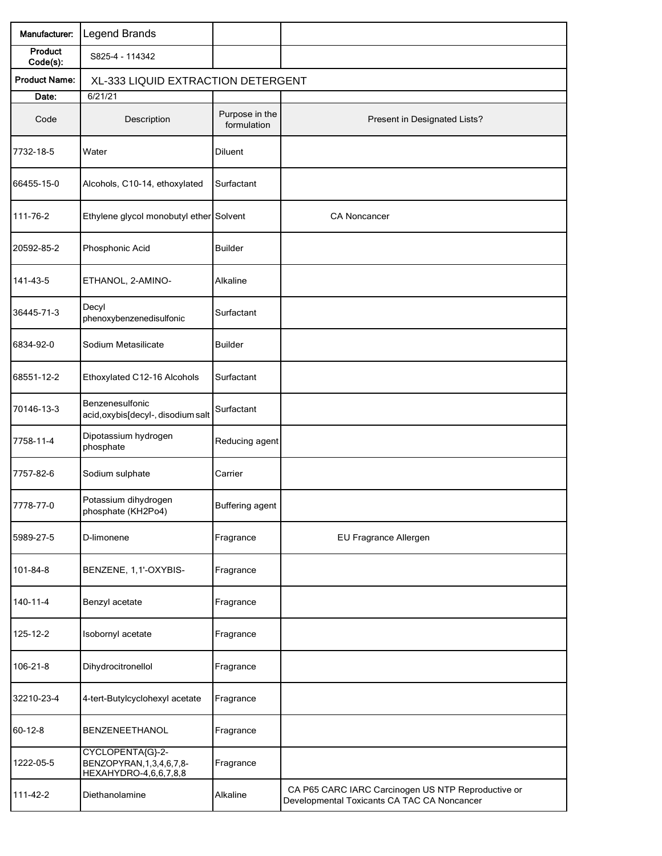| Manufacturer:        | Legend Brands                                                              |                               |                                                                                                   |  |  |
|----------------------|----------------------------------------------------------------------------|-------------------------------|---------------------------------------------------------------------------------------------------|--|--|
| Product<br>Code(s):  | S825-4 - 114342                                                            |                               |                                                                                                   |  |  |
| <b>Product Name:</b> | XL-333 LIQUID EXTRACTION DETERGENT                                         |                               |                                                                                                   |  |  |
| Date:                | 6/21/21                                                                    |                               |                                                                                                   |  |  |
| Code                 | Description                                                                | Purpose in the<br>formulation | Present in Designated Lists?                                                                      |  |  |
| 7732-18-5            | Water                                                                      | Diluent                       |                                                                                                   |  |  |
| 66455-15-0           | Alcohols, C10-14, ethoxylated                                              | Surfactant                    |                                                                                                   |  |  |
| 111-76-2             | Ethylene glycol monobutyl ether                                            | Solvent                       | CA Noncancer                                                                                      |  |  |
| 20592-85-2           | Phosphonic Acid                                                            | <b>Builder</b>                |                                                                                                   |  |  |
| 141-43-5             | ETHANOL, 2-AMINO-                                                          | Alkaline                      |                                                                                                   |  |  |
| 36445-71-3           | Decyl<br>phenoxybenzenedisulfonic                                          | Surfactant                    |                                                                                                   |  |  |
| 6834-92-0            | Sodium Metasilicate                                                        | <b>Builder</b>                |                                                                                                   |  |  |
| 68551-12-2           | Ethoxylated C12-16 Alcohols                                                | Surfactant                    |                                                                                                   |  |  |
| 70146-13-3           | Benzenesulfonic<br>acid, oxybis[decyl-, disodium salt                      | Surfactant                    |                                                                                                   |  |  |
| 7758-11-4            | Dipotassium hydrogen<br>phosphate                                          | Reducing agent                |                                                                                                   |  |  |
| 7757-82-6            | Sodium sulphate                                                            | Carrier                       |                                                                                                   |  |  |
| 7778-77-0            | Potassium dihydrogen<br>phosphate (KH2Po4)                                 | Buffering agent               |                                                                                                   |  |  |
| 5989-27-5            | D-limonene                                                                 | Fragrance                     | EU Fragrance Allergen                                                                             |  |  |
| 101-84-8             | BENZENE, 1,1'-OXYBIS-                                                      | Fragrance                     |                                                                                                   |  |  |
| 140-11-4             | Benzyl acetate                                                             | Fragrance                     |                                                                                                   |  |  |
| 125-12-2             | Isobornyl acetate                                                          | Fragrance                     |                                                                                                   |  |  |
| 106-21-8             | Dihydrocitronellol                                                         | Fragrance                     |                                                                                                   |  |  |
| 32210-23-4           | 4-tert-Butylcyclohexyl acetate                                             | Fragrance                     |                                                                                                   |  |  |
| $60 - 12 - 8$        | BENZENEETHANOL                                                             | Fragrance                     |                                                                                                   |  |  |
| 1222-05-5            | CYCLOPENTA{G}-2-<br>BENZOPYRAN, 1, 3, 4, 6, 7, 8-<br>HEXAHYDRO-4,6,6,7,8,8 | Fragrance                     |                                                                                                   |  |  |
| 111-42-2             | Diethanolamine                                                             | Alkaline                      | CA P65 CARC IARC Carcinogen US NTP Reproductive or<br>Developmental Toxicants CA TAC CA Noncancer |  |  |